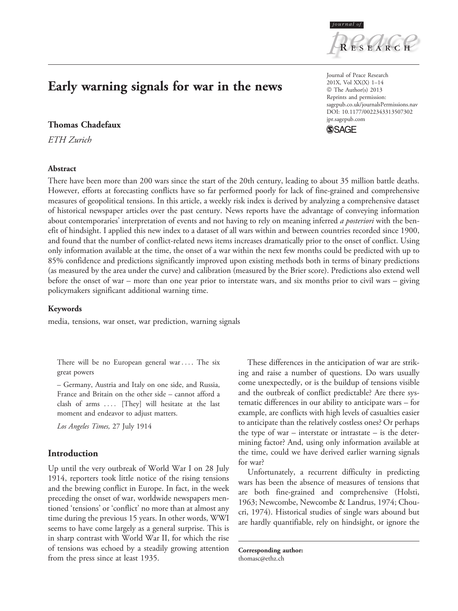# Early warning signals for war in the news

# Thomas Chadefaux

ETH Zurich

#### Abstract

There have been more than 200 wars since the start of the 20th century, leading to about 35 million battle deaths. However, efforts at forecasting conflicts have so far performed poorly for lack of fine-grained and comprehensive measures of geopolitical tensions. In this article, a weekly risk index is derived by analyzing a comprehensive dataset of historical newspaper articles over the past century. News reports have the advantage of conveying information about contemporaries' interpretation of events and not having to rely on meaning inferred a posteriori with the benefit of hindsight. I applied this new index to a dataset of all wars within and between countries recorded since 1900, and found that the number of conflict-related news items increases dramatically prior to the onset of conflict. Using only information available at the time, the onset of a war within the next few months could be predicted with up to 85% confidence and predictions significantly improved upon existing methods both in terms of binary predictions (as measured by the area under the curve) and calibration (measured by the Brier score). Predictions also extend well before the onset of war – more than one year prior to interstate wars, and six months prior to civil wars – giving policymakers significant additional warning time.

## Keywords

media, tensions, war onset, war prediction, warning signals

There will be no European general war ... . The six great powers

– Germany, Austria and Italy on one side, and Russia, France and Britain on the other side – cannot afford a clash of arms . ... [They] will hesitate at the last moment and endeavor to adjust matters.

Los Angeles Times, 27 July 1914

# Introduction

Up until the very outbreak of World War I on 28 July 1914, reporters took little notice of the rising tensions and the brewing conflict in Europe. In fact, in the week preceding the onset of war, worldwide newspapers mentioned 'tensions' or 'conflict' no more than at almost any time during the previous 15 years. In other words, WWI seems to have come largely as a general surprise. This is in sharp contrast with World War II, for which the rise of tensions was echoed by a steadily growing attention from the press since at least 1935.

These differences in the anticipation of war are striking and raise a number of questions. Do wars usually come unexpectedly, or is the buildup of tensions visible and the outbreak of conflict predictable? Are there systematic differences in our ability to anticipate wars – for example, are conflicts with high levels of casualties easier to anticipate than the relatively costless ones? Or perhaps the type of war – interstate or intrastate – is the determining factor? And, using only information available at the time, could we have derived earlier warning signals for war?

Unfortunately, a recurrent difficulty in predicting wars has been the absence of measures of tensions that are both fine-grained and comprehensive (Holsti, 1963; Newcombe, Newcombe & Landrus, 1974; Choucri, 1974). Historical studies of single wars abound but are hardly quantifiable, rely on hindsight, or ignore the

Corresponding author: thomasc@ethz.ch

Journal of Peace Research 201X, Vol XX(X) 1–14 © The Author(s) 2013 Reprints and permission: [sagepub.co.uk/journalsPermissions.nav](http://www.sagepub.co.uk/journalsPermissions.nav) DOI: 10.1177/0022343313507302 [jpr.sagepub.com](http://jpr.sagepub.com) **SSAGE** 

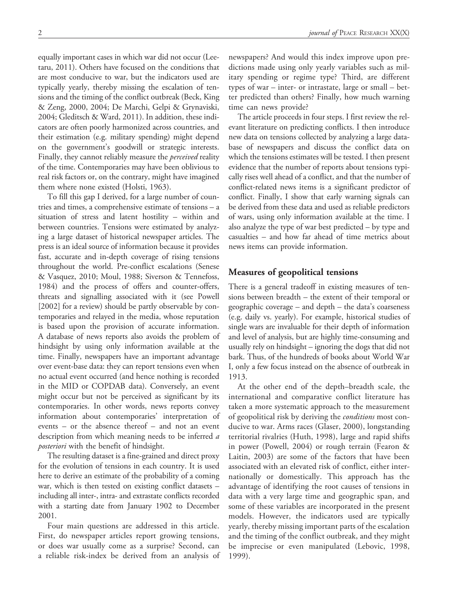equally important cases in which war did not occur (Leetaru, 2011). Others have focused on the conditions that are most conducive to war, but the indicators used are typically yearly, thereby missing the escalation of tensions and the timing of the conflict outbreak (Beck, King & Zeng, 2000, 2004; De Marchi, Gelpi & Grynaviski, 2004; Gleditsch & Ward, 2011). In addition, these indicators are often poorly harmonized across countries, and their estimation (e.g. military spending) might depend on the government's goodwill or strategic interests. Finally, they cannot reliably measure the *perceived* reality of the time. Contemporaries may have been oblivious to real risk factors or, on the contrary, might have imagined them where none existed (Holsti, 1963).

To fill this gap I derived, for a large number of countries and times, a comprehensive estimate of tensions – a situation of stress and latent hostility – within and between countries. Tensions were estimated by analyzing a large dataset of historical newspaper articles. The press is an ideal source of information because it provides fast, accurate and in-depth coverage of rising tensions throughout the world. Pre-conflict escalations (Senese & Vasquez, 2010; Moul, 1988; Siverson & Tennefoss, 1984) and the process of offers and counter-offers, threats and signalling associated with it (see Powell [2002] for a review) should be partly observable by contemporaries and relayed in the media, whose reputation is based upon the provision of accurate information. A database of news reports also avoids the problem of hindsight by using only information available at the time. Finally, newspapers have an important advantage over event-base data: they can report tensions even when no actual event occurred (and hence nothing is recorded in the MID or COPDAB data). Conversely, an event might occur but not be perceived as significant by its contemporaries. In other words, news reports convey information about contemporaries' interpretation of events – or the absence thereof – and not an event description from which meaning needs to be inferred a posteriori with the benefit of hindsight.

The resulting dataset is a fine-grained and direct proxy for the evolution of tensions in each country. It is used here to derive an estimate of the probability of a coming war, which is then tested on existing conflict datasets – including all inter-, intra- and extrastate conflicts recorded with a starting date from January 1902 to December 2001.

Four main questions are addressed in this article. First, do newspaper articles report growing tensions, or does war usually come as a surprise? Second, can a reliable risk-index be derived from an analysis of

newspapers? And would this index improve upon predictions made using only yearly variables such as military spending or regime type? Third, are different types of war – inter- or intrastate, large or small – better predicted than others? Finally, how much warning time can news provide?

The article proceeds in four steps. I first review the relevant literature on predicting conflicts. I then introduce new data on tensions collected by analyzing a large database of newspapers and discuss the conflict data on which the tensions estimates will be tested. I then present evidence that the number of reports about tensions typically rises well ahead of a conflict, and that the number of conflict-related news items is a significant predictor of conflict. Finally, I show that early warning signals can be derived from these data and used as reliable predictors of wars, using only information available at the time. I also analyze the type of war best predicted – by type and casualties – and how far ahead of time metrics about news items can provide information.

# Measures of geopolitical tensions

There is a general tradeoff in existing measures of tensions between breadth – the extent of their temporal or geographic coverage – and depth – the data's coarseness (e.g. daily vs. yearly). For example, historical studies of single wars are invaluable for their depth of information and level of analysis, but are highly time-consuming and usually rely on hindsight – ignoring the dogs that did not bark. Thus, of the hundreds of books about World War I, only a few focus instead on the absence of outbreak in 1913.

At the other end of the depth–breadth scale, the international and comparative conflict literature has taken a more systematic approach to the measurement of geopolitical risk by deriving the *conditions* most conducive to war. Arms races (Glaser, 2000), longstanding territorial rivalries (Huth, 1998), large and rapid shifts in power (Powell, 2004) or rough terrain (Fearon & Laitin, 2003) are some of the factors that have been associated with an elevated risk of conflict, either internationally or domestically. This approach has the advantage of identifying the root causes of tensions in data with a very large time and geographic span, and some of these variables are incorporated in the present models. However, the indicators used are typically yearly, thereby missing important parts of the escalation and the timing of the conflict outbreak, and they might be imprecise or even manipulated (Lebovic, 1998, 1999).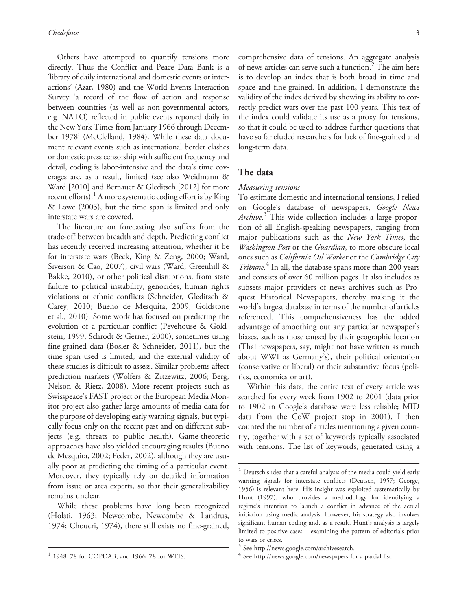Others have attempted to quantify tensions more directly. Thus the Conflict and Peace Data Bank is a 'library of daily international and domestic events or interactions' (Azar, 1980) and the World Events Interaction Survey 'a record of the flow of action and response between countries (as well as non-governmental actors, e.g. NATO) reflected in public events reported daily in the New York Times from January 1966 through December 1978' (McClelland, 1984). While these data document relevant events such as international border clashes or domestic press censorship with sufficient frequency and detail, coding is labor-intensive and the data's time coverages are, as a result, limited (see also Weidmann & Ward [2010] and Bernauer & Gleditsch [2012] for more recent efforts).<sup>1</sup> A more systematic coding effort is by King & Lowe (2003), but the time span is limited and only interstate wars are covered.

The literature on forecasting also suffers from the trade-off between breadth and depth. Predicting conflict has recently received increasing attention, whether it be for interstate wars (Beck, King & Zeng, 2000; Ward, Siverson & Cao, 2007), civil wars (Ward, Greenhill & Bakke, 2010), or other political disruptions, from state failure to political instability, genocides, human rights violations or ethnic conflicts (Schneider, Gleditsch & Carey, 2010; Bueno de Mesquita, 2009; Goldstone et al., 2010). Some work has focused on predicting the evolution of a particular conflict (Pevehouse & Goldstein, 1999; Schrodt & Gerner, 2000), sometimes using fine-grained data (Bosler & Schneider, 2011), but the time span used is limited, and the external validity of these studies is difficult to assess. Similar problems affect prediction markets (Wolfers & Zitzewitz, 2006; Berg, Nelson & Rietz, 2008). More recent projects such as Swisspeace's FAST project or the European Media Monitor project also gather large amounts of media data for the purpose of developing early warning signals, but typically focus only on the recent past and on different subjects (e.g. threats to public health). Game-theoretic approaches have also yielded encouraging results (Bueno de Mesquita, 2002; Feder, 2002), although they are usually poor at predicting the timing of a particular event. Moreover, they typically rely on detailed information from issue or area experts, so that their generalizability remains unclear.

While these problems have long been recognized (Holsti, 1963; Newcombe, Newcombe & Landrus, 1974; Choucri, 1974), there still exists no fine-grained,

comprehensive data of tensions. An aggregate analysis of news articles can serve such a function.<sup>2</sup> The aim here is to develop an index that is both broad in time and space and fine-grained. In addition, I demonstrate the validity of the index derived by showing its ability to correctly predict wars over the past 100 years. This test of the index could validate its use as a proxy for tensions, so that it could be used to address further questions that have so far eluded researchers for lack of fine-grained and long-term data.

# The data

#### Measuring tensions

To estimate domestic and international tensions, I relied on Google's database of newspapers, Google News Archive.<sup>3</sup> This wide collection includes a large proportion of all English-speaking newspapers, ranging from major publications such as the New York Times, the Washington Post or the Guardian, to more obscure local ones such as California Oil Worker or the Cambridge City Tribune.<sup>4</sup> In all, the database spans more than 200 years and consists of over 60 million pages. It also includes as subsets major providers of news archives such as Proquest Historical Newspapers, thereby making it the world's largest database in terms of the number of articles referenced. This comprehensiveness has the added advantage of smoothing out any particular newspaper's biases, such as those caused by their geographic location (Thai newspapers, say, might not have written as much about WWI as Germany's), their political orientation (conservative or liberal) or their substantive focus (politics, economics or art).

Within this data, the entire text of every article was searched for every week from 1902 to 2001 (data prior to 1902 in Google's database were less reliable; MID data from the CoW project stop in 2001). I then counted the number of articles mentioning a given country, together with a set of keywords typically associated with tensions. The list of keywords, generated using a

 $^{1}$  1948–78 for COPDAB, and 1966–78 for WEIS.

 $2$  Deutsch's idea that a careful analysis of the media could yield early warning signals for interstate conflicts (Deutsch, 1957; George, 1956) is relevant here. His insight was exploited systematically by Hunt (1997), who provides a methodology for identifying a regime's intention to launch a conflict in advance of the actual initiation using media analysis. However, his strategy also involves significant human coding and, as a result, Hunt's analysis is largely limited to positive cases – examining the pattern of editorials prior to wars or crises.

<sup>&</sup>lt;sup>3</sup> See http://news.google.com/archivesearch.

<sup>4</sup> See http://news.google.com/newspapers for a partial list.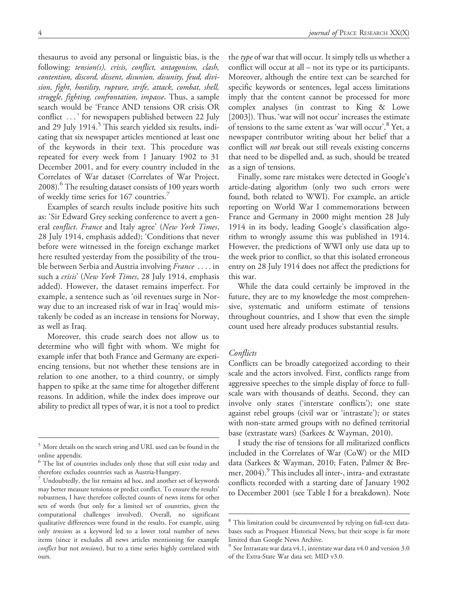thesaurus to avoid any personal or linguistic bias, is the

following: tension(s), crisis, conflict, antagonism, clash, contention, discord, dissent, disunion, disunity, feud, division, fight, hostility, rupture, strife, attack, combat, shell, struggle, fighting, confrontation, impasse. Thus, a sample search would be 'France AND tensions OR crisis OR conflict ... ' for newspapers published between 22 July and 29 July 1914.<sup>5</sup> This search yielded six results, indicating that six newspaper articles mentioned at least one of the keywords in their text. This procedure was repeated for every week from 1 January 1902 to 31 December 2001, and for every country included in the Correlates of War dataset (Correlates of War Project, 2008).<sup>6</sup> The resulting dataset consists of 100 years worth of weekly time series for 167 countries.<sup>7</sup>

Examples of search results include positive hits such as: 'Sir Edward Grey seeking conference to avert a general *conflict*. France and Italy agree' (New York Times, 28 July 1914, emphasis added); 'Conditions that never before were witnessed in the foreign exchange market here resulted yesterday from the possibility of the trouble between Serbia and Austria involving France .... in such a crisis' (New York Times, 28 July 1914, emphasis added). However, the dataset remains imperfect. For example, a sentence such as 'oil revenues surge in Norway due to an increased risk of war in Iraq' would mistakenly be coded as an increase in tensions for Norway, as well as Iraq.

Moreover, this crude search does not allow us to determine who will fight with whom. We might for example infer that both France and Germany are experiencing tensions, but not whether these tensions are in relation to one another, to a third country, or simply happen to spike at the same time for altogether different reasons. In addition, while the index does improve our ability to predict all types of war, it is not a tool to predict

the type of war that will occur. It simply tells us whether a conflict will occur at all – not its type or its participants. Moreover, although the entire text can be searched for specific keywords or sentences, legal access limitations imply that the content cannot be processed for more complex analyses (in contrast to King & Lowe [2003]). Thus, 'war will not occur' increases the estimate of tensions to the same extent as 'war will occur'.<sup>8</sup> Yet, a newspaper contributor writing about her belief that a conflict will not break out still reveals existing concerns that need to be dispelled and, as such, should be treated as a sign of tensions.

Finally, some rare mistakes were detected in Google's article-dating algorithm (only two such errors were found, both related to WWI). For example, an article reporting on World War I commemorations between France and Germany in 2000 might mention 28 July 1914 in its body, leading Google's classification algorithm to wrongly assume this was published in 1914. However, the predictions of WWI only use data up to the week prior to conflict, so that this isolated erroneous entry on 28 July 1914 does not affect the predictions for this war.

While the data could certainly be improved in the future, they are to my knowledge the most comprehensive, systematic and uniform estimate of tensions throughout countries, and I show that even the simple count used here already produces substantial results.

## Conflicts

Conflicts can be broadly categorized according to their scale and the actors involved. First, conflicts range from aggressive speeches to the simple display of force to fullscale wars with thousands of deaths. Second, they can involve only states ('interstate conflicts'); one state against rebel groups (civil war or 'intrastate'); or states with non-state armed groups with no defined territorial base (extrastate wars) (Sarkees & Wayman, 2010).

I study the rise of tensions for all militarized conflicts included in the Correlates of War (CoW) or the MID data (Sarkees & Wayman, 2010; Faten, Palmer & Bremer, 2004).<sup>9</sup> This includes all inter-, intra- and extrastate conflicts recorded with a starting date of January 1902 to December 2001 (see Table I for a breakdown). Note

<sup>&</sup>lt;sup>5</sup> More details on the search string and URL used can be found in the online appendix.

<sup>6</sup> The list of countries includes only those that still exist today and therefore excludes countries such as Austria-Hungary.

 $7$  Undoubtedly, the list remains ad hoc, and another set of keywords may better measure tensions or predict conflict. To ensure the results' robustness, I have therefore collected counts of news items for other sets of words (but only for a limited set of countries, given the computational challenges involved). Overall, no significant qualitative differences were found in the results. For example, using only tensions as a keyword led to a lower total number of news items (since it excludes all news articles mentioning for example conflict but not tensions), but to a time series highly correlated with ours.

<sup>&</sup>lt;sup>8</sup> This limitation could be circumvented by relying on full-text databases such as Proquest Historical News, but their scope is far more limited than Google News Archive.

 $9<sup>9</sup>$  See Intrastate war data v4.1, interstate war data v4.0 and version 3.0 of the Extra-State War data set; MID v3.0.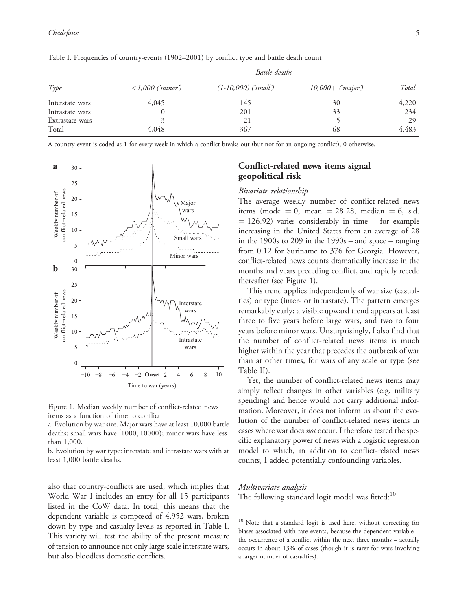|                 |                                   | Battle deaths          |                      |       |  |  |
|-----------------|-----------------------------------|------------------------|----------------------|-------|--|--|
| Type            | $\langle 1,000 \ (minor) \rangle$ | $(1-10,000)$ ('small') | $10,000 + ('major')$ | Total |  |  |
| Interstate wars | 4,045                             | 145                    | 30                   | 4,220 |  |  |
| Intrastate wars | $\theta$                          | 201                    | 33                   | 234   |  |  |
| Extrastate wars |                                   | 21                     |                      | 29    |  |  |
| Total           | 4,048                             | 367                    | 68                   | 4,483 |  |  |

Table I. Frequencies of country-events (1902–2001) by conflict type and battle death count

A country-event is coded as 1 for every week in which a conflict breaks out (but not for an ongoing conflict), 0 otherwise.



Figure 1. Median weekly number of conflict-related news items as a function of time to conflict

a. Evolution by war size. Major wars have at least 10,000 battle deaths; small wars have  $[1000, 10000)$ ; minor wars have less than 1,000.

b. Evolution by war type: interstate and intrastate wars with at least 1,000 battle deaths.

also that country-conflicts are used, which implies that World War I includes an entry for all 15 participants listed in the CoW data. In total, this means that the dependent variable is composed of 4,952 wars, broken down by type and casualty levels as reported in Table I. This variety will test the ability of the present measure of tension to announce not only large-scale interstate wars, but also bloodless domestic conflicts.

# Conflict-related news items signal geopolitical risk

#### Bivariate relationship

The average weekly number of conflict-related news items (mode  $= 0$ , mean  $= 28.28$ , median  $= 6$ , s.d.  $= 126.92$ ) varies considerably in time – for example increasing in the United States from an average of 28 in the 1900s to 209 in the 1990s – and space – ranging from 0.12 for Suriname to 376 for Georgia. However, conflict-related news counts dramatically increase in the months and years preceding conflict, and rapidly recede thereafter (see Figure 1).

This trend applies independently of war size (casualties) or type (inter- or intrastate). The pattern emerges remarkably early: a visible upward trend appears at least three to five years before large wars, and two to four years before minor wars. Unsurprisingly, I also find that the number of conflict-related news items is much higher within the year that precedes the outbreak of war than at other times, for wars of any scale or type (see Table II).

Yet, the number of conflict-related news items may simply reflect changes in other variables (e.g. military spending) and hence would not carry additional information. Moreover, it does not inform us about the evolution of the number of conflict-related news items in cases where war does not occur. I therefore tested the specific explanatory power of news with a logistic regression model to which, in addition to conflict-related news counts, I added potentially confounding variables.

# Multivariate analysis The following standard logit model was fitted:<sup>10</sup>

<sup>&</sup>lt;sup>10</sup> Note that a standard logit is used here, without correcting for biases associated with rare events, because the dependent variable – the occurrence of a conflict within the next three months – actually occurs in about 13% of cases (though it is rarer for wars involving a larger number of casualties).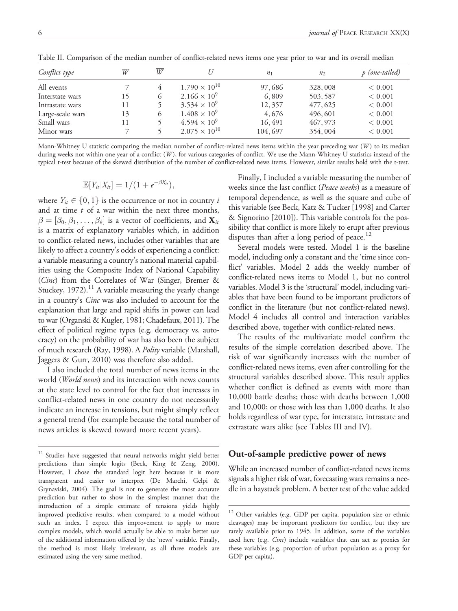| Conflict type    | W  | W |                        | n <sub>1</sub> | n <sub>2</sub> | p (one-tailed) |
|------------------|----|---|------------------------|----------------|----------------|----------------|
| All events       |    | 4 | $1.790 \times 10^{10}$ | 97,686         | 328,008        | < 0.001        |
| Interstate wars  | 15 | 6 | $2.166 \times 10^{9}$  | 6,809          | 503, 587       | < 0.001        |
| Intrastate wars  | 11 |   | $3.534 \times 10^{9}$  | 12,357         | 477, 625       | < 0.001        |
| Large-scale wars | 13 | 6 | $1.408 \times 10^{9}$  | 4,676          | 496,601        | < 0.001        |
| Small wars       | 11 |   | $4.594 \times 10^{9}$  | 16, 491        | 467, 973       | < 0.001        |
| Minor wars       |    |   | $2.075 \times 10^{10}$ | 104, 697       | 354,004        | < 0.001        |

Table II. Comparison of the median number of conflict-related news items one year prior to war and its overall median

Mann-Whitney U statistic comparing the median number of conflict-related news items within the year preceding war  $(W)$  to its median during weeks not within one year of a conflict  $(\overline{W})$ , for various categories of conflict. We use the Mann-Whitney U statistics instead of the typical t-test because of the skewed distribution of the number of conflict-related news items. However, similar results hold with the t-test.

$$
\mathbb{E}[Y_{it}|X_{it}]=1/(1+e^{-\beta X_{it}}),
$$

where  $Y_{it} \in \{0, 1\}$  is the occurrence or not in country i and at time  $t$  of a war within the next three months,  $\beta = [\beta_0, \beta_1, \ldots, \beta_k]$  is a vector of coefficients, and  $\mathbf{X}_{it}$ is a matrix of explanatory variables which, in addition to conflict-related news, includes other variables that are likely to affect a country's odds of experiencing a conflict: a variable measuring a country's national material capabilities using the Composite Index of National Capability (Cinc) from the Correlates of War (Singer, Bremer & Stuckey, 1972).<sup>11</sup> A variable measuring the yearly change in a country's Cinc was also included to account for the explanation that large and rapid shifts in power can lead to war (Organski & Kugler, 1981; Chadefaux, 2011). The effect of political regime types (e.g. democracy vs. autocracy) on the probability of war has also been the subject of much research (Ray, 1998). A Polity variable (Marshall, Jaggers & Gurr, 2010) was therefore also added.

I also included the total number of news items in the world (World news) and its interaction with news counts at the state level to control for the fact that increases in conflict-related news in one country do not necessarily indicate an increase in tensions, but might simply reflect a general trend (for example because the total number of news articles is skewed toward more recent years).

Finally, I included a variable measuring the number of weeks since the last conflict (Peace weeks) as a measure of temporal dependence, as well as the square and cube of this variable (see Beck, Katz & Tucker [1998] and Carter & Signorino [2010]). This variable controls for the possibility that conflict is more likely to erupt after previous disputes than after a long period of peace.<sup>12</sup>

Several models were tested. Model 1 is the baseline model, including only a constant and the 'time since conflict' variables. Model 2 adds the weekly number of conflict-related news items to Model 1, but no control variables. Model 3 is the 'structural' model, including variables that have been found to be important predictors of conflict in the literature (but not conflict-related news). Model 4 includes all control and interaction variables described above, together with conflict-related news.

The results of the multivariate model confirm the results of the simple correlation described above. The risk of war significantly increases with the number of conflict-related news items, even after controlling for the structural variables described above. This result applies whether conflict is defined as events with more than 10,000 battle deaths; those with deaths between 1,000 and 10,000; or those with less than 1,000 deaths. It also holds regardless of war type, for interstate, intrastate and extrastate wars alike (see Tables III and IV).

# Out-of-sample predictive power of news

While an increased number of conflict-related news items signals a higher risk of war, forecasting wars remains a needle in a haystack problem. A better test of the value added

<sup>&</sup>lt;sup>11</sup> Studies have suggested that neural networks might yield better predictions than simple logits (Beck, King & Zeng, 2000). However, I chose the standard logit here because it is more transparent and easier to interpret (De Marchi, Gelpi & Grynaviski, 2004). The goal is not to generate the most accurate prediction but rather to show in the simplest manner that the introduction of a simple estimate of tensions yields highly improved predictive results, when compared to a model without such an index. I expect this improvement to apply to more complex models, which would actually be able to make better use of the additional information offered by the 'news' variable. Finally, the method is most likely irrelevant, as all three models are estimated using the very same method.

<sup>&</sup>lt;sup>12</sup> Other variables (e.g. GDP per capita, population size or ethnic cleavages) may be important predictors for conflict, but they are rarely available prior to 1945. In addition, some of the variables used here (e.g. Cinc) include variables that can act as proxies for these variables (e.g. proportion of urban population as a proxy for GDP per capita).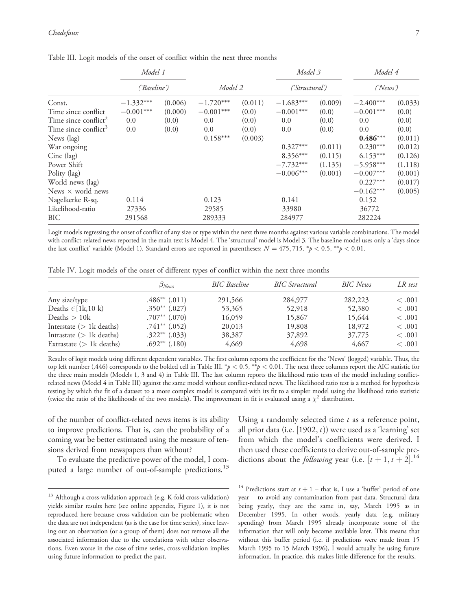|                                                                                                                                                                                                                                 | Model 1                                  |                                      |                                                        |                                               | Model 3                                                                                          |                                                                                | Model 4                                                                                                                                       |                                                                                                                 |
|---------------------------------------------------------------------------------------------------------------------------------------------------------------------------------------------------------------------------------|------------------------------------------|--------------------------------------|--------------------------------------------------------|-----------------------------------------------|--------------------------------------------------------------------------------------------------|--------------------------------------------------------------------------------|-----------------------------------------------------------------------------------------------------------------------------------------------|-----------------------------------------------------------------------------------------------------------------|
|                                                                                                                                                                                                                                 | <i>(Baseline)</i>                        |                                      | Model 2                                                |                                               | <i>('Structural')</i>                                                                            |                                                                                | (News')                                                                                                                                       |                                                                                                                 |
| Const.<br>Time since conflict<br>Time since conflict <sup>2</sup><br>Time since conflict <sup>3</sup><br>News (lag)<br>War ongoing<br>Cinc (lag)<br>Power Shift<br>Polity (lag)<br>World news (lag)<br>News $\times$ world news | $-1.332***$<br>$-0.001***$<br>0.0<br>0.0 | (0.006)<br>(0.000)<br>(0.0)<br>(0.0) | $-1.720***$<br>$-0.001***$<br>0.0<br>0.0<br>$0.158***$ | (0.011)<br>(0.0)<br>(0.0)<br>(0.0)<br>(0.003) | $-1.683***$<br>$-0.001***$<br>0.0<br>0.0<br>$0.327***$<br>8.356***<br>$-7.732***$<br>$-0.006***$ | (0.009)<br>(0.0)<br>(0.0)<br>(0.0)<br>(0.011)<br>(0.115)<br>(1.135)<br>(0.001) | $-2.400***$<br>$-0.001***$<br>0.0<br>0.0<br>$0.486***$<br>$0.230***$<br>$6.153***$<br>$-5.958***$<br>$-0.007***$<br>$0.227***$<br>$-0.162***$ | (0.033)<br>(0.0)<br>(0.0)<br>(0.0)<br>(0.011)<br>(0.012)<br>(0.126)<br>(1.118)<br>(0.001)<br>(0.017)<br>(0.005) |
| Nagelkerke R-sq.<br>Likelihood-ratio<br><b>BIC</b>                                                                                                                                                                              | 0.114<br>27336<br>291568                 |                                      | 0.123<br>29585<br>289333                               |                                               | 0.141<br>33980<br>284977                                                                         |                                                                                | 0.152<br>36772<br>282224                                                                                                                      |                                                                                                                 |

Table III. Logit models of the onset of conflict within the next three months

Logit models regressing the onset of conflict of any size or type within the next three months against various variable combinations. The model with conflict-related news reported in the main text is Model 4. The 'structural' model is Model 3. The baseline model uses only a 'days since the last conflict' variable (Model 1). Standard errors are reported in parentheses;  $N = 475,715$ .  $*_p < 0.5$ ,  $*_p < 0.01$ .

Table IV. Logit models of the onset of different types of conflict within the next three months

|                                  | $\beta_{Neus}$    | <b>BIC</b> Baseline | <b>BIC</b> Structural | <b>BIC</b> News | LR test |
|----------------------------------|-------------------|---------------------|-----------------------|-----------------|---------|
| Any size/type                    | $.486**$ $(.011)$ | 291,566             | 284,977               | 282,223         | <.001   |
| Deaths $\in$ [1k,10 k)           | $.350**$ (.027)   | 53,365              | 52,918                | 52,380          | <.001   |
| Deaths $> 10k$                   | $.707**$ (.070)   | 16,059              | 15,867                | 15,644          | <.001   |
| Interstate $($ > 1 $k$ deaths)   | $.741**$ (.052)   | 20,013              | 19,808                | 18,972          | <.001   |
| Intrastate $($ 1 $k$ deaths)     | $.322**$ $(.033)$ | 38,387              | 37,892                | 37,775          | <.001   |
| Extrastate $($ 1 $\rm k$ deaths) | $.692**$ $(.180)$ | 4,669               | 4,698                 | 4,667           | <.001   |

Results of logit models using different dependent variables. The first column reports the coefficient for the 'News' (logged) variable. Thus, the top left number (.446) corresponds to the bolded cell in Table III.  $^*p < 0.5$ ,  $^{**}p < 0.01$ . The next three columns report the AIC statistic for the three main models (Models 1, 3 and 4) in Table III. The last column reports the likelihood ratio tests of the model including conflictrelated news (Model 4 in Table III) against the same model without conflict-related news. The likelihood ratio test is a method for hypothesis testing by which the fit of a dataset to a more complex model is compared with its fit to a simpler model using the likelihood ratio statistic (twice the ratio of the likelihoods of the two models). The improvement in fit is evaluated using a  $\chi^2$  distribution.

of the number of conflict-related news items is its ability to improve predictions. That is, can the probability of a coming war be better estimated using the measure of tensions derived from newspapers than without?

To evaluate the predictive power of the model, I computed a large number of out-of-sample predictions.<sup>13</sup> Using a randomly selected time  $t$  as a reference point, all prior data (i.e.  $[1902, t)$ ) were used as a 'learning' set from which the model's coefficients were derived. I then used these coefficients to derive out-of-sample predictions about the *following* year (i.e.  $[t + 1, t + 2]$ .<sup>14</sup>

<sup>&</sup>lt;sup>13</sup> Although a cross-validation approach (e.g. K-fold cross-validation) yields similar results here (see online appendix, Figure 1), it is not reproduced here because cross-validation can be problematic when the data are not independent (as is the case for time series), since leaving out an observation (or a group of them) does not remove all the associated information due to the correlations with other observations. Even worse in the case of time series, cross-validation implies using future information to predict the past.

<sup>&</sup>lt;sup>14</sup> Predictions start at  $t + 1$  – that is, I use a 'buffer' period of one year – to avoid any contamination from past data. Structural data being yearly, they are the same in, say, March 1995 as in December 1995. In other words, yearly data (e.g. military spending) from March 1995 already incorporate some of the information that will only become available later. This means that without this buffer period (i.e. if predictions were made from 15 March 1995 to 15 March 1996), I would actually be using future information. In practice, this makes little difference for the results.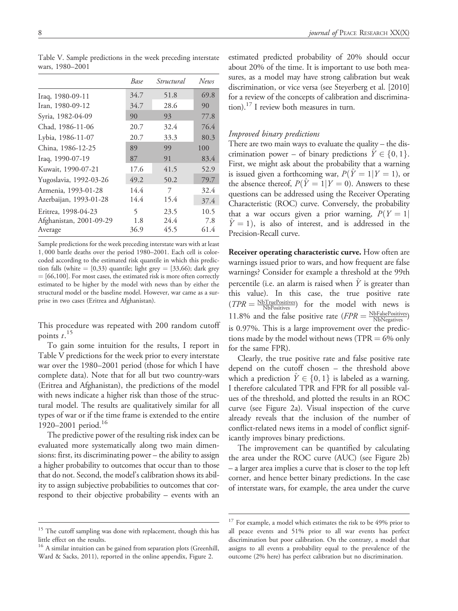|                         | Base | Structural | News |
|-------------------------|------|------------|------|
| Iraq, 1980-09-11        | 34.7 | 51.8       | 69.8 |
| Iran, 1980-09-12        | 34.7 | 28.6       | 90   |
| Syria, 1982-04-09       | 90   | 93         | 77.8 |
| Chad, 1986-11-06        | 20.7 | 32.4       | 76.4 |
| Lybia, 1986-11-07       | 20.7 | 33.3       | 80.3 |
| China, 1986-12-25       | 89   | 99         | 100  |
| Iraq, 1990-07-19        | 87   | 91         | 83.4 |
| Kuwait, 1990-07-21      | 17.6 | 41.5       | 52.9 |
| Yugoslavia, 1992-03-26  | 49.2 | 50.2       | 79.7 |
| Armenia, 1993-01-28     | 14.4 | 7          | 32.4 |
| Azerbaijan, 1993-01-28  | 14.4 | 15.4       | 37.4 |
| Eritrea, 1998-04-23     | 5    | 23.5       | 10.5 |
| Afghanistan, 2001-09-29 | 1.8  | 24.4       | 7.8  |
| Average                 | 36.9 | 45.5       | 61.4 |

Table V. Sample predictions in the week preceding interstate wars, 1980–2001

Sample predictions for the week preceding interstate wars with at least 1; 000 battle deaths over the period 1980–2001. Each cell is colorcoded according to the estimated risk quantile in which this prediction falls (white  $=$  [0,33) quantile; light grey  $=$  [33,66); dark grey  $=[66,100]$ . For most cases, the estimated risk is more often correctly estimated to be higher by the model with news than by either the structural model or the baseline model. However, war came as a surprise in two cases (Eritrea and Afghanistan).

This procedure was repeated with 200 random cutoff points  $t$ <sup>15</sup>

To gain some intuition for the results, I report in Table V predictions for the week prior to every interstate war over the 1980–2001 period (those for which I have complete data). Note that for all but two country-wars (Eritrea and Afghanistan), the predictions of the model with news indicate a higher risk than those of the structural model. The results are qualitatively similar for all types of war or if the time frame is extended to the entire 1920–2001 period.<sup>16</sup>

The predictive power of the resulting risk index can be evaluated more systematically along two main dimensions: first, its discriminating power – the ability to assign a higher probability to outcomes that occur than to those that do not. Second, the model's calibration shows its ability to assign subjective probabilities to outcomes that correspond to their objective probability – events with an estimated predicted probability of 20% should occur about 20% of the time. It is important to use both measures, as a model may have strong calibration but weak discrimination, or vice versa (see Steyerberg et al. [2010] for a review of the concepts of calibration and discrimination).<sup>17</sup> I review both measures in turn.

# Improved binary predictions

There are two main ways to evaluate the quality – the discrimination power – of binary predictions  $\hat{Y} \in \{0, 1\}.$ First, we might ask about the probability that a warning is issued given a forthcoming war,  $P(\hat{Y} = 1 | Y = 1)$ , or the absence thereof,  $P(Y = 1|Y = 0)$ . Answers to these questions can be addressed using the Receiver Operating Characteristic (ROC) curve. Conversely, the probability that a war occurs given a prior warning,  $P(Y = 1)$  $\hat{Y} = 1$ , is also of interest, and is addressed in the Precision-Recall curve.

Receiver operating characteristic curve. How often are warnings issued prior to wars, and how frequent are false warnings? Consider for example a threshold at the 99th percentile (i.e. an alarm is raised when  $\hat{Y}$  is greater than this value). In this case, the true positive rate  $(TPR = \frac{NbTruPositives}{NbPositives})$  for the model with news is 11.8% and the false positive rate  $(FPR = \frac{NbFalsePositives}{NbNegatives})$ is 0.97%. This is a large improvement over the predictions made by the model without news (TPR  $= 6\%$  only for the same FPR).

Clearly, the true positive rate and false positive rate depend on the cutoff chosen – the threshold above which a prediction  $\hat{Y} \in \{0, 1\}$  is labeled as a warning. I therefore calculated TPR and FPR for all possible values of the threshold, and plotted the results in an ROC curve (see Figure 2a). Visual inspection of the curve already reveals that the inclusion of the number of conflict-related news items in a model of conflict significantly improves binary predictions.

The improvement can be quantified by calculating the area under the ROC curve (AUC) (see Figure 2b) – a larger area implies a curve that is closer to the top left corner, and hence better binary predictions. In the case of interstate wars, for example, the area under the curve

<sup>&</sup>lt;sup>15</sup> The cutoff sampling was done with replacement, though this has little effect on the results.

<sup>&</sup>lt;sup>16</sup> A similar intuition can be gained from separation plots (Greenhill, Ward & Sacks, 2011), reported in the online appendix, Figure 2.

<sup>&</sup>lt;sup>17</sup> For example, a model which estimates the risk to be 49% prior to all peace events and 51% prior to all war events has perfect discrimination but poor calibration. On the contrary, a model that assigns to all events a probability equal to the prevalence of the outcome (2% here) has perfect calibration but no discrimination.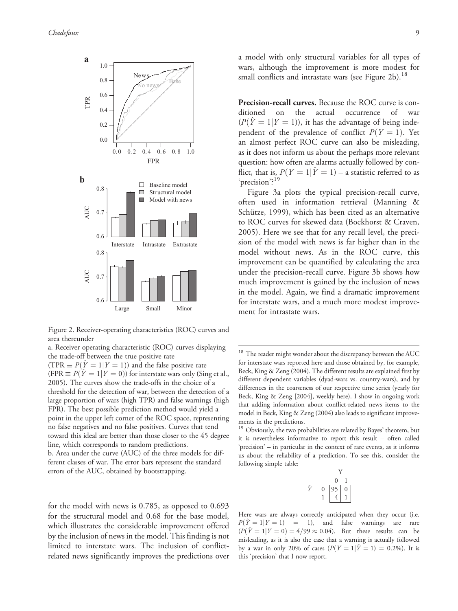



a. Receiver operating characteristic (ROC) curves displaying the trade-off between the true positive rate  $(TPR \equiv P(\hat{Y} = 1|Y = 1))$  and the false positive rate

(FPR  $\equiv P(\hat{Y} = 1|Y = 0)$ ) for interstate wars only (Sing et al., 2005). The curves show the trade-offs in the choice of a threshold for the detection of war, between the detection of a large proportion of wars (high TPR) and false warnings (high FPR). The best possible prediction method would yield a point in the upper left corner of the ROC space, representing no false negatives and no false positives. Curves that tend toward this ideal are better than those closer to the 45 degree line, which corresponds to random predictions. b. Area under the curve (AUC) of the three models for different classes of war. The error bars represent the standard errors of the AUC, obtained by bootstrapping.

for the model with news is 0.785, as opposed to 0.693 for the structural model and 0.68 for the base model, which illustrates the considerable improvement offered by the inclusion of news in the model. This finding is not limited to interstate wars. The inclusion of conflictrelated news significantly improves the predictions over a model with only structural variables for all types of wars, although the improvement is more modest for small conflicts and intrastate wars (see Figure 2b).<sup>18</sup>

Precision-recall curves. Because the ROC curve is conditioned on the actual occurrence of war  $(P(Y = 1 | Y = 1))$ , it has the advantage of being independent of the prevalence of conflict  $P(Y = 1)$ . Yet an almost perfect ROC curve can also be misleading, as it does not inform us about the perhaps more relevant question: how often are alarms actually followed by conflict, that is,  $P(Y = 1 | \hat{Y} = 1)$  – a statistic referred to as 'precision'?<sup>19</sup>

Figure 3a plots the typical precision-recall curve, often used in information retrieval (Manning & Schütze, 1999), which has been cited as an alternative to ROC curves for skewed data (Bockhorst & Craven, 2005). Here we see that for any recall level, the precision of the model with news is far higher than in the model without news. As in the ROC curve, this improvement can be quantified by calculating the area under the precision-recall curve. Figure 3b shows how much improvement is gained by the inclusion of news in the model. Again, we find a dramatic improvement for interstate wars, and a much more modest improvement for intrastate wars.

 $^{18}$  The reader might wonder about the discrepancy between the AUC  $\,$ for interstate wars reported here and those obtained by, for example, Beck, King & Zeng (2004). The different results are explained first by different dependent variables (dyad-wars vs. country-wars), and by differences in the coarseness of our respective time series (yearly for Beck, King & Zeng [2004], weekly here). I show in ongoing work that adding information about conflict-related news items to the model in Beck, King & Zeng (2004) also leads to significant improvements in the predictions.

<sup>19</sup> Obviously, the two probabilities are related by Bayes' theorem, but it is nevertheless informative to report this result – often called 'precision' – in particular in the context of rare events, as it informs us about the reliability of a prediction. To see this, consider the following simple table:

|   |                | $\theta$ | ı |  |
|---|----------------|----------|---|--|
| Ÿ | $\overline{0}$ | 95       | 0 |  |
|   |                |          |   |  |

Here wars are always correctly anticipated when they occur (i.e.  $P(\hat{Y} = 1 | Y = 1) = 1$ , and false warnings are rare  $(P(Y = 1 | Y = 0) = 4/99 \approx 0.04)$ . But these results can be misleading, as it is also the case that a warning is actually followed by a war in only 20% of cases  $(P(Y = 1 | Y = 1) = 0.2$ %). It is this 'precision' that I now report.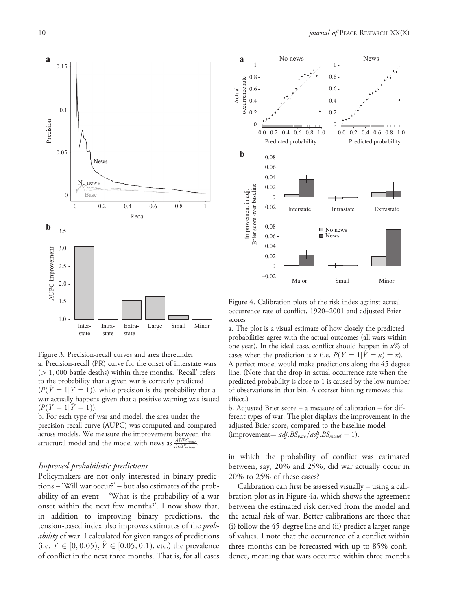

Figure 3. Precision-recall curves and area thereunder a. Precision-recall (PR) curve for the onset of interstate wars  $(> 1,000$  battle deaths) within three months. 'Recall' refers to the probability that a given war is correctly predicted  $(P(Y = 1 | Y = 1))$ , while precision is the probability that a war actually happens given that a positive warning was issued  $(P(Y = 1 | \hat{Y} = 1)).$ 

b. For each type of war and model, the area under the precision-recall curve (AUPC) was computed and compared across models. We measure the improvement between the structural model and the model with news as  $\frac{AUPC_{new}}{AUPC_{sum}}$ .

## Improved probabilistic predictions

Policymakers are not only interested in binary predictions – 'Will war occur?' – but also estimates of the probability of an event – 'What is the probability of a war onset within the next few months?'. I now show that, in addition to improving binary predictions, the tension-based index also improves estimates of the probability of war. I calculated for given ranges of predictions (i.e.  $\hat{Y} \in [0, 0.05), \hat{Y} \in [0.05, 0.1)$ , etc.) the prevalence of conflict in the next three months. That is, for all cases



Figure 4. Calibration plots of the risk index against actual occurrence rate of conflict, 1920–2001 and adjusted Brier scores

a. The plot is a visual estimate of how closely the predicted probabilities agree with the actual outcomes (all wars within one year). In the ideal case, conflict should happen in  $x\%$  of cases when the prediction is x (i.e.  $P(Y = 1|\hat{Y} = x) = x$ ). A perfect model would make predictions along the 45 degree line. (Note that the drop in actual occurrence rate when the predicted probability is close to 1 is caused by the low number of observations in that bin. A coarser binning removes this effect.)

b. Adjusted Brier score – a measure of calibration – for different types of war. The plot displays the improvement in the adjusted Brier score, compared to the baseline model (improvement=  $adj. BS_{base}/adj. BS_{model} - 1$ ).

in which the probability of conflict was estimated between, say, 20% and 25%, did war actually occur in 20% to 25% of these cases?

Calibration can first be assessed visually – using a calibration plot as in Figure 4a, which shows the agreement between the estimated risk derived from the model and the actual risk of war. Better calibrations are those that (i) follow the 45-degree line and (ii) predict a larger range of values. I note that the occurrence of a conflict within three months can be forecasted with up to 85% confidence, meaning that wars occurred within three months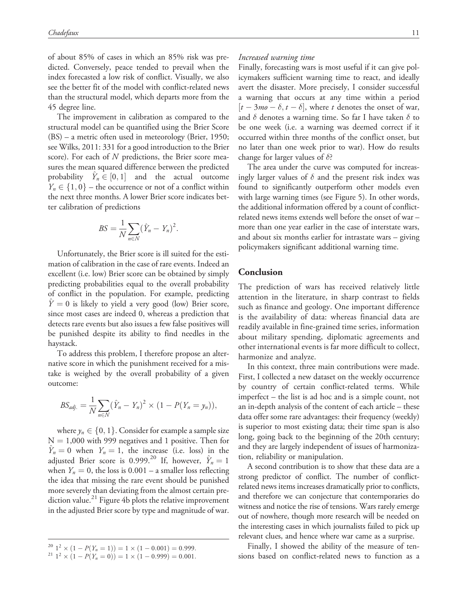of about 85% of cases in which an 85% risk was predicted. Conversely, peace tended to prevail when the index forecasted a low risk of conflict. Visually, we also see the better fit of the model with conflict-related news than the structural model, which departs more from the 45 degree line.

The improvement in calibration as compared to the structural model can be quantified using the Brier Score (BS) – a metric often used in meteorology (Brier, 1950; see Wilks, 2011: 331 for a good introduction to the Brier score). For each of  $N$  predictions, the Brier score measures the mean squared difference between the predicted probability  $\hat{Y}_n \in [0, 1]$  and the actual outcome  $Y_n \in \{1, 0\}$  – the occurrence or not of a conflict within the next three months. A lower Brier score indicates better calibration of predictions

$$
BS = \frac{1}{N} \sum_{n \in N} (\hat{Y}_n - Y_n)^2.
$$

Unfortunately, the Brier score is ill suited for the estimation of calibration in the case of rare events. Indeed an excellent (i.e. low) Brier score can be obtained by simply predicting probabilities equal to the overall probability of conflict in the population. For example, predicting  $Y = 0$  is likely to yield a very good (low) Brier score, since most cases are indeed 0, whereas a prediction that detects rare events but also issues a few false positives will be punished despite its ability to find needles in the haystack.

To address this problem, I therefore propose an alternative score in which the punishment received for a mistake is weighed by the overall probability of a given outcome:

$$
BS_{adj.} = \frac{1}{N} \sum_{n \in N} (\hat{Y}_n - Y_n)^2 \times (1 - P(Y_n = y_n)),
$$

where  $y_n \in \{0, 1\}$ . Consider for example a sample size  $N = 1,000$  with 999 negatives and 1 positive. Then for  $\hat{Y}_n = 0$  when  $Y_n = 1$ , the increase (i.e. loss) in the adjusted Brier score is 0.999.<sup>20</sup> If, however,  $\hat{Y}_n = 1$ when  $Y_n = 0$ , the loss is 0.001 – a smaller loss reflecting the idea that missing the rare event should be punished more severely than deviating from the almost certain prediction value.<sup>21</sup> Figure 4b plots the relative improvement in the adjusted Brier score by type and magnitude of war.

$$
^{21} 12 \times (1 - P(Y_n = 0)) = 1 \times (1 - 0.999) = 0.001.
$$

#### Increased warning time

Finally, forecasting wars is most useful if it can give policymakers sufficient warning time to react, and ideally avert the disaster. More precisely, I consider successful a warning that occurs at any time within a period  $[t - 3mo - \delta, t - \delta]$ , where t denotes the onset of war, and  $\delta$  denotes a warning time. So far I have taken  $\delta$  to be one week (i.e. a warning was deemed correct if it occurred within three months of the conflict onset, but no later than one week prior to war). How do results change for larger values of  $\delta$ ?

The area under the curve was computed for increasingly larger values of  $\delta$  and the present risk index was found to significantly outperform other models even with large warning times (see Figure 5). In other words, the additional information offered by a count of conflictrelated news items extends well before the onset of war – more than one year earlier in the case of interstate wars, and about six months earlier for intrastate wars – giving policymakers significant additional warning time.

# **Conclusion**

The prediction of wars has received relatively little attention in the literature, in sharp contrast to fields such as finance and geology. One important difference is the availability of data: whereas financial data are readily available in fine-grained time series, information about military spending, diplomatic agreements and other international events is far more difficult to collect, harmonize and analyze.

In this context, three main contributions were made. First, I collected a new dataset on the weekly occurrence by country of certain conflict-related terms. While imperfect – the list is ad hoc and is a simple count, not an in-depth analysis of the content of each article – these data offer some rare advantages: their frequency (weekly) is superior to most existing data; their time span is also long, going back to the beginning of the 20th century; and they are largely independent of issues of harmonization, reliability or manipulation.

A second contribution is to show that these data are a strong predictor of conflict. The number of conflictrelated news items increases dramatically prior to conflicts, and therefore we can conjecture that contemporaries do witness and notice the rise of tensions. Wars rarely emerge out of nowhere, though more research will be needed on the interesting cases in which journalists failed to pick up relevant clues, and hence where war came as a surprise.

Finally, I showed the ability of the measure of tensions based on conflict-related news to function as a

 $2^{20}$   $1^2 \times (1 - P(Y_n = 1)) = 1 \times (1 - 0.001) = 0.999$ .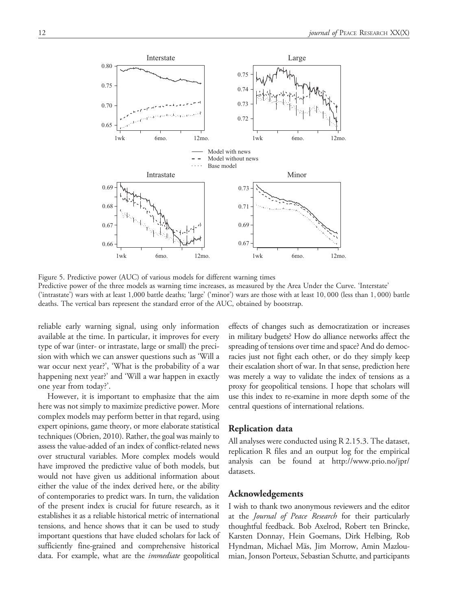

Figure 5. Predictive power (AUC) of various models for different warning times Predictive power of the three models as warning time increases, as measured by the Area Under the Curve. 'Interstate' ('intrastate') wars with at least 1,000 battle deaths; 'large' ('minor') wars are those with at least 10; 000 (less than 1; 000) battle deaths. The vertical bars represent the standard error of the AUC, obtained by bootstrap.

reliable early warning signal, using only information available at the time. In particular, it improves for every type of war (inter- or intrastate, large or small) the precision with which we can answer questions such as 'Will a war occur next year?', 'What is the probability of a war happening next year?' and 'Will a war happen in exactly one year from today?'.

However, it is important to emphasize that the aim here was not simply to maximize predictive power. More complex models may perform better in that regard, using expert opinions, game theory, or more elaborate statistical techniques (Obrien, 2010). Rather, the goal was mainly to assess the value-added of an index of conflict-related news over structural variables. More complex models would have improved the predictive value of both models, but would not have given us additional information about either the value of the index derived here, or the ability of contemporaries to predict wars. In turn, the validation of the present index is crucial for future research, as it establishes it as a reliable historical metric of international tensions, and hence shows that it can be used to study important questions that have eluded scholars for lack of sufficiently fine-grained and comprehensive historical data. For example, what are the *immediate* geopolitical

effects of changes such as democratization or increases in military budgets? How do alliance networks affect the spreading of tensions over time and space? And do democracies just not fight each other, or do they simply keep their escalation short of war. In that sense, prediction here was merely a way to validate the index of tensions as a proxy for geopolitical tensions. I hope that scholars will use this index to re-examine in more depth some of the central questions of international relations.

## Replication data

All analyses were conducted using R 2.15.3. The dataset, replication R files and an output log for the empirical analysis can be found at http://www.prio.no/jpr/ datasets.

# Acknowledgements

I wish to thank two anonymous reviewers and the editor at the Journal of Peace Research for their particularly thoughtful feedback. Bob Axelrod, Robert ten Brincke, Karsten Donnay, Hein Goemans, Dirk Helbing, Rob Hyndman, Michael Mäs, Jim Morrow, Amin Mazloumian, Jonson Porteux, Sebastian Schutte, and participants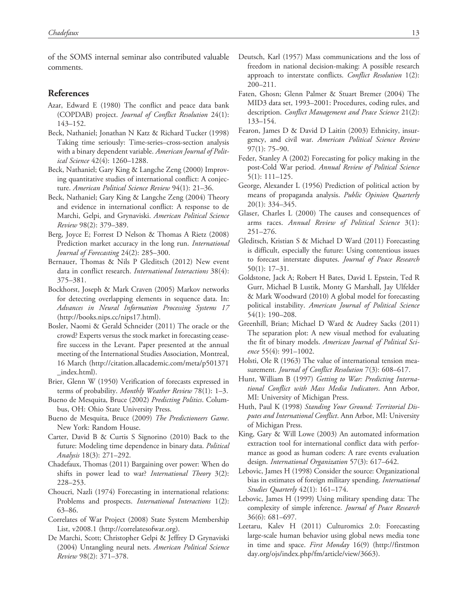of the SOMS internal seminar also contributed valuable comments.

# References

- Azar, Edward E (1980) The conflict and peace data bank (COPDAB) project. Journal of Conflict Resolution 24(1): 143–152.
- Beck, Nathaniel; Jonathan N Katz & Richard Tucker (1998) Taking time seriously: Time-series–cross-section analysis with a binary dependent variable. American Journal of Political Science 42(4): 1260–1288.
- Beck, Nathaniel; Gary King & Langche Zeng (2000) Improving quantitative studies of international conflict: A conjecture. American Political Science Review 94(1): 21–36.
- Beck, Nathaniel; Gary King & Langche Zeng (2004) Theory and evidence in international conflict: A response to de Marchi, Gelpi, and Grynaviski. American Political Science Review 98(2): 379–389.
- Berg, Joyce E; Forrest D Nelson & Thomas A Rietz (2008) Prediction market accuracy in the long run. International Journal of Forecasting 24(2): 285–300.
- Bernauer, Thomas & Nils P Gleditsch (2012) New event data in conflict research. International Interactions 38(4): 375–381.
- Bockhorst, Joseph & Mark Craven (2005) Markov networks for detecting overlapping elements in sequence data. In: Advances in Neural Information Processing Systems 17 [\(http://books.nips.cc/nips17.html\)](http://books.nips.cc/nips17.html).
- Bosler, Naomi & Gerald Schneider (2011) The oracle or the crowd? Experts versus the stock market in forecasting ceasefire success in the Levant. Paper presented at the annual meeting of the International Studies Association, Montreal, 16 March [\(http://citation.allacademic.com/meta/p501371](http://citation.allacademic.com/meta/p501371_index.html) [\\_index.html\).](http://citation.allacademic.com/meta/p501371_index.html)
- Brier, Glenn W (1950) Verification of forecasts expressed in terms of probability. Monthly Weather Review 78(1): 1–3.
- Bueno de Mesquita, Bruce (2002) Predicting Politics. Columbus, OH: Ohio State University Press.
- Bueno de Mesquita, Bruce (2009) The Predictioneers Game. New York: Random House.
- Carter, David B & Curtis S Signorino (2010) Back to the future: Modeling time dependence in binary data. Political Analysis 18(3): 271–292.
- Chadefaux, Thomas (2011) Bargaining over power: When do shifts in power lead to war? *International Theory* 3(2): 228–253.
- Choucri, Nazli (1974) Forecasting in international relations: Problems and prospects. International Interactions 1(2): 63–86.
- Correlates of War Project (2008) State System Membership List, v2008.1 [\(http://correlatesofwar.org\).](http://correlatesofwar.org)
- De Marchi, Scott; Christopher Gelpi & Jeffrey D Grynaviski (2004) Untangling neural nets. American Political Science Review 98(2): 371–378.
- Deutsch, Karl (1957) Mass communications and the loss of freedom in national decision-making: A possible research approach to interstate conflicts. Conflict Resolution 1(2): 200–211.
- Faten, Ghosn; Glenn Palmer & Stuart Bremer (2004) The MID3 data set, 1993–2001: Procedures, coding rules, and description. Conflict Management and Peace Science 21(2): 133–154.
- Fearon, James D & David D Laitin (2003) Ethnicity, insurgency, and civil war. American Political Science Review 97(1): 75–90.
- Feder, Stanley A (2002) Forecasting for policy making in the post-Cold War period. Annual Review of Political Science 5(1): 111–125.
- George, Alexander L (1956) Prediction of political action by means of propaganda analysis. Public Opinion Quarterly 20(1): 334–345.
- Glaser, Charles L (2000) The causes and consequences of arms races. Annual Review of Political Science 3(1): 251–276.
- Gleditsch, Kristian S & Michael D Ward (2011) Forecasting is difficult, especially the future: Using contentious issues to forecast interstate disputes. Journal of Peace Research 50(1): 17–31.
- Goldstone, Jack A; Robert H Bates, David L Epstein, Ted R Gurr, Michael B Lustik, Monty G Marshall, Jay Ulfelder & Mark Woodward (2010) A global model for forecasting political instability. American Journal of Political Science 54(1): 190–208.
- Greenhill, Brian; Michael D Ward & Audrey Sacks (2011) The separation plot: A new visual method for evaluating the fit of binary models. American Journal of Political Science 55(4): 991–1002.
- Holsti, Ole R (1963) The value of international tension measurement. Journal of Conflict Resolution 7(3): 608-617.
- Hunt, William B (1997) Getting to War: Predicting International Conflict with Mass Media Indicators. Ann Arbor, MI: University of Michigan Press.
- Huth, Paul K (1998) Standing Your Ground: Territorial Disputes and International Conflict. Ann Arbor, MI: University of Michigan Press.
- King, Gary & Will Lowe (2003) An automated information extraction tool for international conflict data with performance as good as human coders: A rare events evaluation design. International Organization 57(3): 617–642.
- Lebovic, James H (1998) Consider the source: Organizational bias in estimates of foreign military spending. International Studies Quarterly 42(1): 161–174.
- Lebovic, James H (1999) Using military spending data: The complexity of simple inference. Journal of Peace Research 36(6): 681–697.
- Leetaru, Kalev H (2011) Culturomics 2.0: Forecasting large-scale human behavior using global news media tone in time and space. First Monday 16(9) [\(http://firstmon](http://firstmonday.org/ojs/index.php/fm/article/view/3663) [day.org/ojs/index.php/fm/article/view/3663\).](http://firstmonday.org/ojs/index.php/fm/article/view/3663)